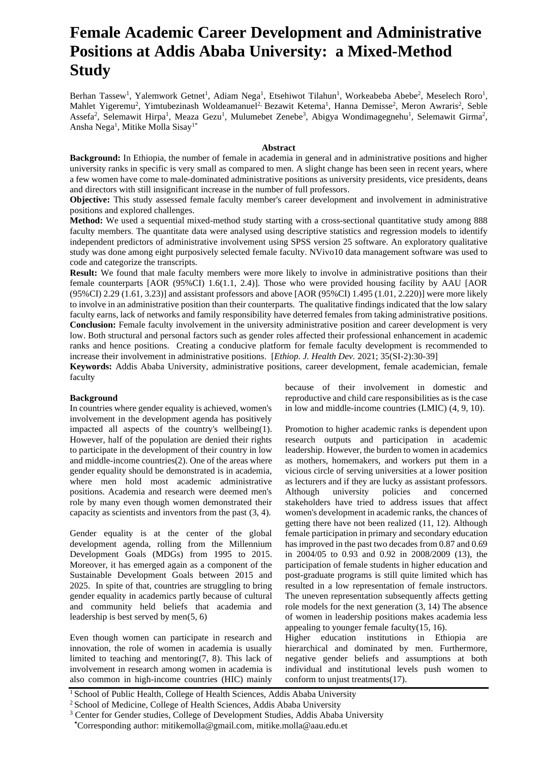# **Female Academic Career Development and Administrative Positions at Addis Ababa University: a Mixed-Method Study**

Berhan Tassew<sup>1</sup>, Yalemwork Getnet<sup>1</sup>, Adiam Nega<sup>1</sup>, Etsehiwot Tilahun<sup>1</sup>, Workeabeba Abebe<sup>2</sup>, Meselech Roro<sup>1</sup>, Mahlet Yigeremu<sup>2</sup>, Yimtubezinash Woldeamanuel<sup>2,</sup> Bezawit Ketema<sup>1</sup>, Hanna Demisse<sup>2</sup>, Meron Awraris<sup>2</sup>, Seble Assefa<sup>2</sup>, Selemawit Hirpa<sup>1</sup>, Meaza Gezu<sup>1</sup>, Mulumebet Zenebe<sup>3</sup>, Abigya Wondimagegnehu<sup>1</sup>, Selemawit Girma<sup>2</sup>, Ansha Nega<sup>1</sup>, Mitike Molla Sisay<sup>1\*</sup>

#### **Abstract**

**Background:** In Ethiopia, the number of female in academia in general and in administrative positions and higher university ranks in specific is very small as compared to men. A slight change has been seen in recent years, where a few women have come to male-dominated administrative positions as university presidents, vice presidents, deans and directors with still insignificant increase in the number of full professors.

**Objective:** This study assessed female faculty member's career development and involvement in administrative positions and explored challenges.

**Method:** We used a sequential mixed-method study starting with a cross-sectional quantitative study among 888 faculty members. The quantitate data were analysed using descriptive statistics and regression models to identify independent predictors of administrative involvement using SPSS version 25 software. An exploratory qualitative study was done among eight purposively selected female faculty. NVivo10 data management software was used to code and categorize the transcripts.

**Result:** We found that male faculty members were more likely to involve in administrative positions than their female counterparts [AOR (95%CI) 1.6(1.1, 2.4)]. Those who were provided housing facility by AAU [AOR (95%CI) 2.29 (1.61, 3.23)] and assistant professors and above [AOR (95%CI) 1.495 (1.01, 2.220)] were more likely to involve in an administrative position than their counterparts. The qualitative findings indicated that the low salary faculty earns, lack of networks and family responsibility have deterred females from taking administrative positions. **Conclusion:** Female faculty involvement in the university administrative position and career development is very low. Both structural and personal factors such as gender roles affected their professional enhancement in academic ranks and hence positions. Creating a conducive platform for female faculty development is recommended to increase their involvement in administrative positions. [*Ethiop. J. Health Dev.* 2021; 35(SI-2):30-39]

**Keywords:** Addis Ababa University, administrative positions, career development, female academician, female faculty

#### **Background**

In countries where gender equality is achieved, women's involvement in the development agenda has positively impacted all aspects of the country's wellbeing(1). However, half of the population are denied their rights to participate in the development of their country in low and middle-income countries(2). One of the areas where gender equality should be demonstrated is in academia, where men hold most academic administrative positions. Academia and research were deemed men's role by many even though women demonstrated their capacity as scientists and inventors from the past (3, 4).

Gender equality is at the center of the global development agenda, rolling from the Millennium Development Goals (MDGs) from 1995 to 2015. Moreover, it has emerged again as a component of the Sustainable Development Goals between 2015 and 2025. In spite of that, countries are struggling to bring gender equality in academics partly because of cultural and community held beliefs that academia and leadership is best served by men(5, 6)

Even though women can participate in research and innovation, the role of women in academia is usually limited to teaching and mentoring(7, 8). This lack of involvement in research among women in academia is also common in high-income countries (HIC) mainly because of their involvement in domestic and reproductive and child care responsibilities as is the case in low and middle-income countries (LMIC) (4, 9, 10).

Promotion to higher academic ranks is dependent upon research outputs and participation in academic leadership. However, the burden to women in academics as mothers, homemakers, and workers put them in a vicious circle of serving universities at a lower position as lecturers and if they are lucky as assistant professors. Although university policies and concerned stakeholders have tried to address issues that affect women's development in academic ranks, the chances of getting there have not been realized (11, 12). Although female participation in primary and secondary education has improved in the past two decades from 0.87 and 0.69 in 2004/05 to 0.93 and 0.92 in 2008/2009 (13), the participation of female students in higher education and post-graduate programs is still quite limited which has resulted in a low representation of female instructors. The uneven representation subsequently affects getting role models for the next generation (3, 14) The absence of women in leadership positions makes academia less appealing to younger female faculty(15, 16).

Higher education institutions in Ethiopia are hierarchical and dominated by men. Furthermore, negative gender beliefs and assumptions at both individual and institutional levels push women to conform to unjust treatments(17).

<sup>&</sup>lt;sup>1</sup> School of Public Health, College of Health Sciences, Addis Ababa University

<sup>&</sup>lt;sup>2</sup> School of Medicine, College of Health Sciences, Addis Ababa University

<sup>&</sup>lt;sup>3</sup> Center for Gender studies, College of Development Studies, Addis Ababa University

 **<sup>\*</sup>**Corresponding author: [mitikemolla@gmail.com,](mailto:mitikemolla@gmail.com) [mitike.molla@aau.edu.et](mailto:mitike.molla@aau.edu.et)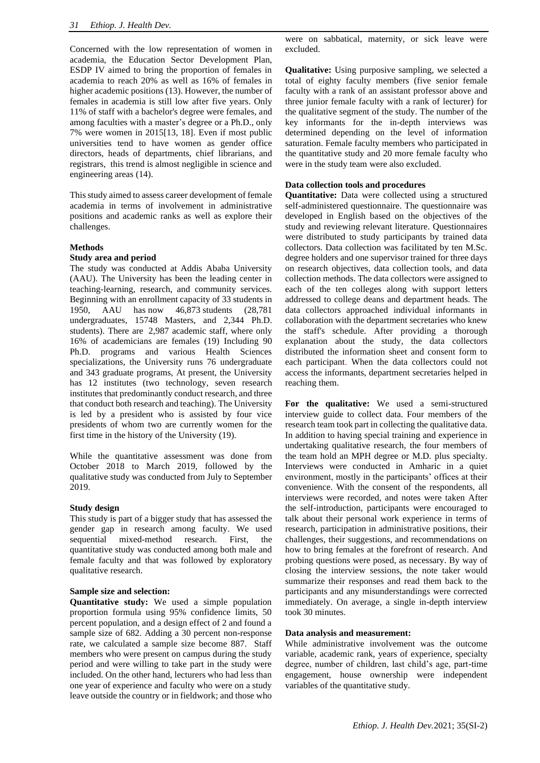Concerned with the low representation of women in academia, the Education Sector Development Plan, ESDP IV aimed to bring the proportion of females in academia to reach 20% as well as 16% of females in higher academic positions (13). However, the number of females in academia is still low after five years. Only 11% of staff with a bachelor's degree were females, and among faculties with a master's degree or a Ph.D., only 7% were women in 2015[13, 18]. Even if most public universities tend to have women as gender office directors, heads of departments, chief librarians, and registrars, this trend is almost negligible in science and engineering areas (14).

This study aimed to assess career development of female academia in terms of involvement in administrative positions and academic ranks as well as explore their challenges.

#### **Methods**

#### **Study area and period**

The study was conducted at Addis Ababa University (AAU). The University has been the leading center in teaching-learning, research, and community services. Beginning with an enrollment capacity of 33 students in 1950, AAU has now 46,873 students (28,781 undergraduates, 15748 Masters, and 2,344 Ph.D. students). There are 2,987 academic staff, where only 16% of academicians are females (19) Including 90 Ph.D. programs and various Health Sciences specializations, the University runs 76 undergraduate and 343 graduate programs, At present, the University has 12 institutes (two technology, seven research institutes that predominantly conduct research, and three that conduct both research and teaching). The University is led by a president who is assisted by four vice presidents of whom two are currently women for the first time in the history of the University (19).

While the quantitative assessment was done from October 2018 to March 2019, followed by the qualitative study was conducted from July to September 2019.

#### **Study design**

This study is part of a bigger study that has assessed the gender gap in research among faculty. We used sequential mixed-method research. First, the quantitative study was conducted among both male and female faculty and that was followed by exploratory qualitative research.

#### **Sample size and selection:**

**Quantitative study:** We used a simple population proportion formula using 95% confidence limits, 50 percent population, and a design effect of 2 and found a sample size of 682. Adding a 30 percent non-response rate, we calculated a sample size become 887. Staff members who were present on campus during the study period and were willing to take part in the study were included. On the other hand, lecturers who had less than one year of experience and faculty who were on a study leave outside the country or in fieldwork; and those who were on sabbatical, maternity, or sick leave were excluded.

**Qualitative:** Using purposive sampling, we selected a total of eighty faculty members (five senior female faculty with a rank of an assistant professor above and three junior female faculty with a rank of lecturer) for the qualitative segment of the study. The number of the key informants for the in-depth interviews was determined depending on the level of information saturation. Female faculty members who participated in the quantitative study and 20 more female faculty who were in the study team were also excluded.

#### **Data collection tools and procedures**

**Quantitative:** Data were collected using a structured self-administered questionnaire. The questionnaire was developed in English based on the objectives of the study and reviewing relevant literature. Questionnaires were distributed to study participants by trained data collectors. Data collection was facilitated by ten M.Sc. degree holders and one supervisor trained for three days on research objectives, data collection tools, and data collection methods. The data collectors were assigned to each of the ten colleges along with support letters addressed to college deans and department heads. The data collectors approached individual informants in collaboration with the department secretaries who knew the staff's schedule. After providing a thorough explanation about the study, the data collectors distributed the information sheet and consent form to each participant. When the data collectors could not access the informants, department secretaries helped in reaching them.

**For the qualitative:** We used a semi-structured interview guide to collect data. Four members of the research team took part in collecting the qualitative data. In addition to having special training and experience in undertaking qualitative research, the four members of the team hold an MPH degree or M.D. plus specialty. Interviews were conducted in Amharic in a quiet environment, mostly in the participants' offices at their convenience. With the consent of the respondents, all interviews were recorded, and notes were taken After the self-introduction, participants were encouraged to talk about their personal work experience in terms of research, participation in administrative positions, their challenges, their suggestions, and recommendations on how to bring females at the forefront of research. And probing questions were posed, as necessary. By way of closing the interview sessions, the note taker would summarize their responses and read them back to the participants and any misunderstandings were corrected immediately. On average, a single in-depth interview took 30 minutes.

#### **Data analysis and measurement:**

While administrative involvement was the outcome variable, academic rank, years of experience, specialty degree, number of children, last child's age, part-time engagement, house ownership were independent variables of the quantitative study.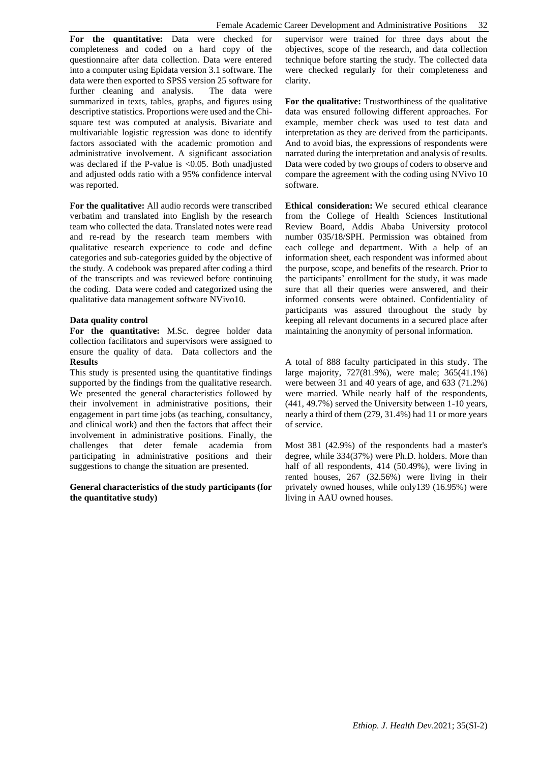**For the quantitative:** Data were checked for completeness and coded on a hard copy of the questionnaire after data collection. Data were entered into a computer using Epidata version 3.1 software. The data were then exported to SPSS version 25 software for further cleaning and analysis. The data were summarized in texts, tables, graphs, and figures using descriptive statistics. Proportions were used and the Chisquare test was computed at analysis. Bivariate and multivariable logistic regression was done to identify factors associated with the academic promotion and administrative involvement. A significant association was declared if the P-value is <0.05. Both unadjusted and adjusted odds ratio with a 95% confidence interval was reported.

**For the qualitative:** All audio records were transcribed verbatim and translated into English by the research team who collected the data. Translated notes were read and re-read by the research team members with qualitative research experience to code and define categories and sub-categories guided by the objective of the study. A codebook was prepared after coding a third of the transcripts and was reviewed before continuing the coding. Data were coded and categorized using the qualitative data management software NVivo10.

#### **Data quality control**

**For the quantitative:** M.Sc. degree holder data collection facilitators and supervisors were assigned to ensure the quality of data. Data collectors and the **Results**

This study is presented using the quantitative findings supported by the findings from the qualitative research. We presented the general characteristics followed by their involvement in administrative positions, their engagement in part time jobs (as teaching, consultancy, and clinical work) and then the factors that affect their involvement in administrative positions. Finally, the challenges that deter female academia from participating in administrative positions and their suggestions to change the situation are presented.

#### **General characteristics of the study participants (for the quantitative study)**

supervisor were trained for three days about the objectives, scope of the research, and data collection technique before starting the study. The collected data were checked regularly for their completeness and clarity.

For the qualitative: Trustworthiness of the qualitative data was ensured following different approaches. For example, member check was used to test data and interpretation as they are derived from the participants. And to avoid bias, the expressions of respondents were narrated during the interpretation and analysis of results. Data were coded by two groups of coders to observe and compare the agreement with the coding using NVivo 10 software.

**Ethical consideration:** We secured ethical clearance from the College of Health Sciences Institutional Review Board, Addis Ababa University protocol number 035/18/SPH. Permission was obtained from each college and department. With a help of an information sheet, each respondent was informed about the purpose, scope, and benefits of the research. Prior to the participants' enrollment for the study, it was made sure that all their queries were answered, and their informed consents were obtained. Confidentiality of participants was assured throughout the study by keeping all relevant documents in a secured place after maintaining the anonymity of personal information.

A total of 888 faculty participated in this study. The large majority, 727(81.9%), were male; 365(41.1%) were between 31 and 40 years of age, and 633 (71.2%) were married. While nearly half of the respondents, (441, 49.7%) served the University between 1-10 years, nearly a third of them (279, 31.4%) had 11 or more years of service.

Most 381 (42.9%) of the respondents had a master's degree, while 334(37%) were Ph.D. holders. More than half of all respondents, 414 (50.49%), were living in rented houses, 267 (32.56%) were living in their privately owned houses, while only139 (16.95%) were living in AAU owned houses.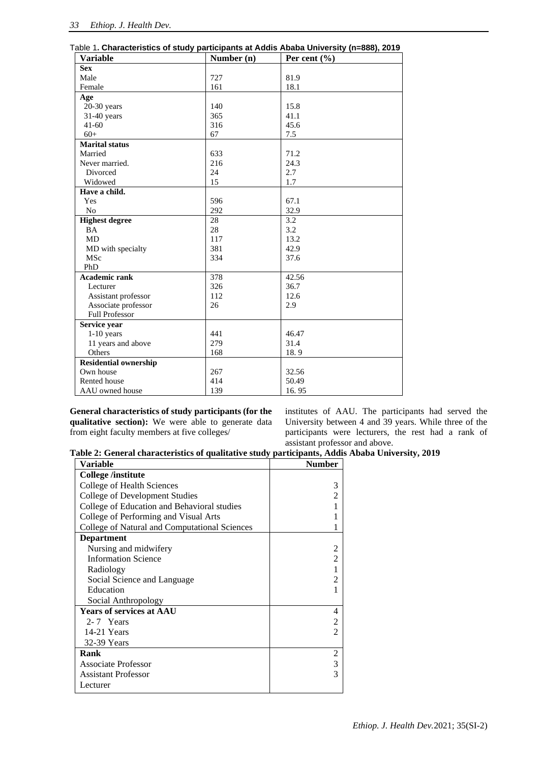| <b>Variable</b>              | Number (n) | Per cent $(\% )$ |
|------------------------------|------------|------------------|
| <b>Sex</b>                   |            |                  |
| Male                         | 727        | 81.9             |
| Female                       | 161        | 18.1             |
| Age                          |            |                  |
| $20-30$ years                | 140        | 15.8             |
| 31-40 years                  | 365        | 41.1             |
| $41 - 60$                    | 316        | 45.6             |
| $60+$                        | 67         | 7.5              |
| <b>Marital status</b>        |            |                  |
| Married                      | 633        | 71.2             |
| Never married.               | 216        | 24.3             |
| Divorced                     | 24         | 2.7              |
| Widowed                      | 15         | 1.7              |
| Have a child.                |            |                  |
| Yes                          | 596        | 67.1             |
| N <sub>0</sub>               | 292        | 32.9             |
| <b>Highest degree</b>        | 28         | 3.2              |
| BA                           | 28         | 3.2              |
| <b>MD</b>                    | 117        | 13.2             |
| MD with specialty            | 381        | 42.9             |
| MSc                          | 334        | 37.6             |
| PhD                          |            |                  |
| <b>Academic rank</b>         | 378        | 42.56            |
| Lecturer                     | 326        | 36.7             |
| Assistant professor          | 112        | 12.6             |
| Associate professor          | 26         | 2.9              |
| <b>Full Professor</b>        |            |                  |
| Service year                 |            |                  |
| $1-10$ years                 | 441        | 46.47            |
| 11 years and above           | 279        | 31.4             |
| Others                       | 168        | 18.9             |
| <b>Residential ownership</b> |            |                  |
| Own house                    | 267        | 32.56            |
| Rented house                 | 414        | 50.49            |
| AAU owned house              | 139        | 16.95            |

**General characteristics of study participants (for the qualitative section):** We were able to generate data from eight faculty members at five colleges/

institutes of AAU. The participants had served the University between 4 and 39 years. While three of the participants were lecturers, the rest had a rank of assistant professor and above.

**Table 2: General characteristics of qualitative study participants, Addis Ababa University, 2019**

| Variable                                      | <b>Number</b> |
|-----------------------------------------------|---------------|
| College /institute                            |               |
| College of Health Sciences                    | 3             |
| <b>College of Development Studies</b>         |               |
| College of Education and Behavioral studies   |               |
| College of Performing and Visual Arts         |               |
| College of Natural and Computational Sciences |               |
| <b>Department</b>                             |               |
| Nursing and midwifery                         |               |
| <b>Information Science</b>                    |               |
| Radiology                                     |               |
| Social Science and Language                   |               |
| Education                                     |               |
| Social Anthropology                           |               |
| <b>Years of services at AAU</b>               | 4             |
| 2-7 Years                                     |               |
| 14-21 Years                                   |               |
| 32-39 Years                                   |               |
| Rank                                          |               |
| <b>Associate Professor</b>                    | 3             |
| <b>Assistant Professor</b>                    |               |
| Lecturer                                      |               |
|                                               |               |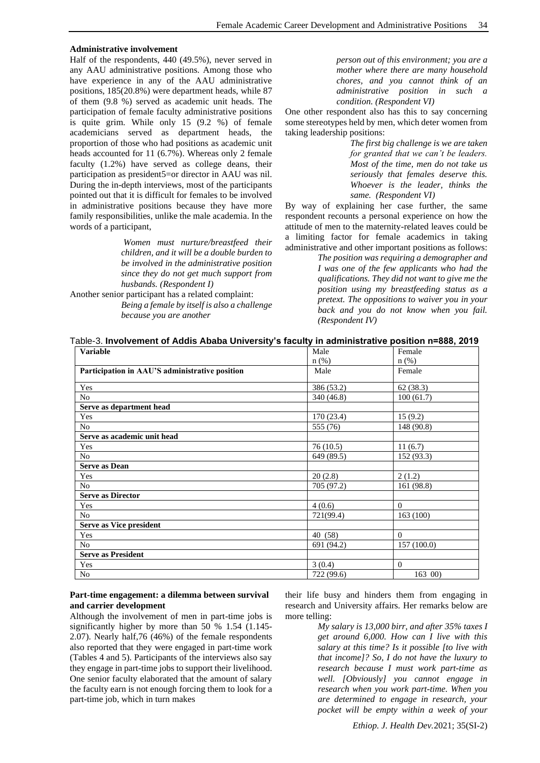#### **Administrative involvement**

Half of the respondents, 440 (49.5%), never served in any AAU administrative positions. Among those who have experience in any of the AAU administrative positions, 185(20.8%) were department heads, while 87 of them (9.8 %) served as academic unit heads. The participation of female faculty administrative positions is quite grim. While only 15 (9.2 %) of female academicians served as department heads, the proportion of those who had positions as academic unit heads accounted for 11 (6.7%). Whereas only 2 female faculty (1.2%) have served as college deans, their participation as president5=or director in AAU was nil. During the in-depth interviews, most of the participants pointed out that it is difficult for females to be involved in administrative positions because they have more family responsibilities, unlike the male academia. In the words of a participant,

> *Women must nurture/breastfeed their children, and it will be a double burden to be involved in the administrative position since they do not get much support from husbands. (Respondent I)*

Another senior participant has a related complaint: *Being a female by itself is also a challenge because you are another* 

*person out of this environment; you are a mother where there are many household chores, and you cannot think of an administrative position in such a condition. (Respondent VI)*

One other respondent also has this to say concerning some stereotypes held by men, which deter women from taking leadership positions:

> *The first big challenge is we are taken for granted that we can't be leaders. Most of the time, men do not take us seriously that females deserve this. Whoever is the leader, thinks the same. (Respondent VI)*

By way of explaining her case further, the same respondent recounts a personal experience on how the attitude of men to the maternity-related leaves could be a limiting factor for female academics in taking administrative and other important positions as follows:

> *The position was requiring a demographer and I was one of the few applicants who had the qualifications. They did not want to give me the position using my breastfeeding status as a pretext. The oppositions to waiver you in your back and you do not know when you fail. (Respondent IV)*

| Table-3. Involvement of Addis Ababa University's faculty in administrative position n=888, 2019 |  |  |
|-------------------------------------------------------------------------------------------------|--|--|
|-------------------------------------------------------------------------------------------------|--|--|

| <b>Variable</b>                                | Male       | Female         |
|------------------------------------------------|------------|----------------|
|                                                | $n$ (%)    | $n$ (%)        |
| Participation in AAU'S administrative position | Male       | Female         |
| Yes                                            | 386 (53.2) | 62 (38.3)      |
| N <sub>o</sub>                                 | 340 (46.8) | 100(61.7)      |
| Serve as department head                       |            |                |
| Yes                                            | 170 (23.4) | 15(9.2)        |
| N <sub>0</sub>                                 | 555 (76)   | 148 (90.8)     |
| Serve as academic unit head                    |            |                |
| Yes                                            | 76(10.5)   | 11(6.7)        |
| N <sub>0</sub>                                 | 649 (89.5) | 152(93.3)      |
| <b>Serve as Dean</b>                           |            |                |
| Yes                                            | 20(2.8)    | 2(1.2)         |
| No                                             | 705 (97.2) | 161 (98.8)     |
| <b>Serve as Director</b>                       |            |                |
| Yes                                            | 4(0.6)     | $\Omega$       |
| N <sub>o</sub>                                 | 721(99.4)  | 163(100)       |
| Serve as Vice president                        |            |                |
| Yes                                            | 40 (58)    | $\Omega$       |
| N <sub>o</sub>                                 | 691 (94.2) | 157 (100.0)    |
| <b>Serve as President</b>                      |            |                |
| Yes                                            | 3(0.4)     | $\overline{0}$ |
| N <sub>o</sub>                                 | 722 (99.6) | 163 00)        |

#### **Part-time engagement: a dilemma between survival and carrier development**

Although the involvement of men in part-time jobs is significantly higher by more than 50 % 1.54 (1.145- 2.07). Nearly half,76 (46%) of the female respondents also reported that they were engaged in part-time work (Tables 4 and 5). Participants of the interviews also say they engage in part-time jobs to support their livelihood. One senior faculty elaborated that the amount of salary the faculty earn is not enough forcing them to look for a part-time job, which in turn makes

their life busy and hinders them from engaging in research and University affairs. Her remarks below are more telling:

> *My salary is 13,000 birr, and after 35% taxes I get around 6,000. How can I live with this salary at this time? Is it possible [to live with that income]? So, I do not have the luxury to research because I must work part-time as well. [Obviously] you cannot engage in research when you work part-time. When you are determined to engage in research, your pocket will be empty within a week of your*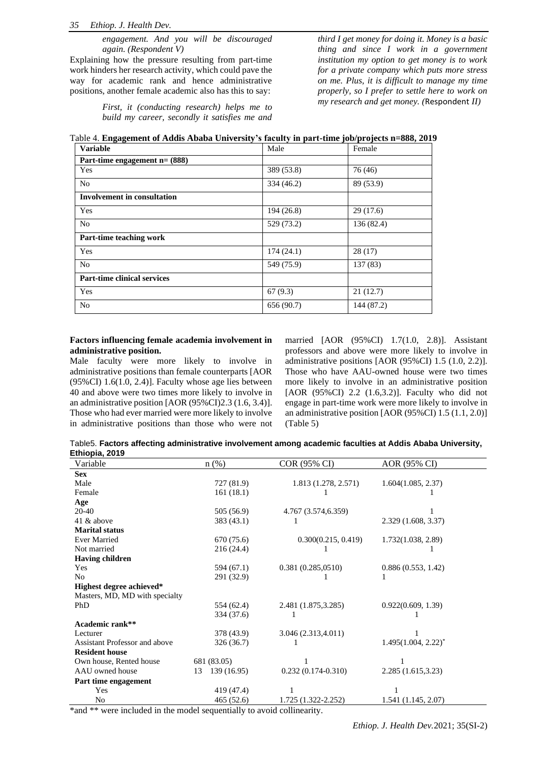*engagement. And you will be discouraged again. (Respondent V)*

Explaining how the pressure resulting from part-time work hinders her research activity, which could pave the way for academic rank and hence administrative positions, another female academic also has this to say:

> *First, it (conducting research) helps me to build my career, secondly it satisfies me and*

*third I get money for doing it. Money is a basic thing and since I work in a government institution my option to get money is to work for a private company which puts more stress on me. Plus, it is difficult to manage my time properly, so I prefer to settle here to work on my research and get money. (*Respondent *II)*

| Table 4. Engagement of Addis Ababa University's faculty in part-time job/projects n=888, 2019 |  |  |  |
|-----------------------------------------------------------------------------------------------|--|--|--|
| .                                                                                             |  |  |  |

| <b>Variable</b>                    | Male       | Female     |  |  |
|------------------------------------|------------|------------|--|--|
| Part-time engagement $n = (888)$   |            |            |  |  |
| Yes                                | 389 (53.8) | 76 (46)    |  |  |
| No                                 | 334 (46.2) | 89 (53.9)  |  |  |
| <b>Involvement in consultation</b> |            |            |  |  |
| Yes                                | 194 (26.8) | 29 (17.6)  |  |  |
| N <sub>0</sub>                     | 529 (73.2) | 136 (82.4) |  |  |
| Part-time teaching work            |            |            |  |  |
| Yes                                | 174(24.1)  | 28(17)     |  |  |
| N <sub>0</sub>                     | 549 (75.9) | 137 (83)   |  |  |
| <b>Part-time clinical services</b> |            |            |  |  |
| Yes                                | 67(9.3)    | 21(12.7)   |  |  |
| No                                 | 656 (90.7) | 144 (87.2) |  |  |

#### **Factors influencing female academia involvement in administrative position.**

Male faculty were more likely to involve in administrative positions than female counterparts [AOR  $(95\% \text{CI})$  1.6(1.0, 2.4)]. Faculty whose age lies between 40 and above were two times more likely to involve in an administrative position [AOR (95%CI)2.3 (1.6, 3.4)]. Those who had ever married were more likely to involve in administrative positions than those who were not married [AOR (95%CI) 1.7(1.0, 2.8)]. Assistant professors and above were more likely to involve in administrative positions [AOR (95%CI) 1.5 (1.0, 2.2)]. Those who have AAU-owned house were two times more likely to involve in an administrative position [AOR (95%CI) 2.2 (1.6,3.2)]. Faculty who did not engage in part-time work were more likely to involve in an administrative position [AOR (95%CI) 1.5 (1.1, 2.0)] (Table 5)

Table5. **Factors affecting administrative involvement among academic faculties at Addis Ababa University, Ethiopia, 2019**

| Variable                       | $n$ (%)           | COR (95% CI)         | AOR (95% CI)             |
|--------------------------------|-------------------|----------------------|--------------------------|
| <b>Sex</b>                     |                   |                      |                          |
| Male                           | 727 (81.9)        | 1.813 (1.278, 2.571) | 1.604(1.085, 2.37)       |
| Female                         | 161(18.1)         |                      |                          |
| Age                            |                   |                      |                          |
| 20-40                          | 505 (56.9)        | 4.767 (3.574,6.359)  |                          |
| 41 & above                     | 383(43.1)         |                      | 2.329 (1.608, 3.37)      |
| <b>Marital status</b>          |                   |                      |                          |
| <b>Ever Married</b>            | 670 (75.6)        | 0.300(0.215, 0.419)  | 1.732(1.038, 2.89)       |
| Not married                    | 216(24.4)         |                      |                          |
| <b>Having children</b>         |                   |                      |                          |
| Yes                            | 594 (67.1)        | 0.381(0.285,0510)    | 0.886(0.553, 1.42)       |
| No                             | 291 (32.9)        |                      | 1                        |
| Highest degree achieved*       |                   |                      |                          |
| Masters, MD, MD with specialty |                   |                      |                          |
| PhD                            | 554 (62.4)        | 2.481 (1.875, 3.285) | 0.922(0.609, 1.39)       |
|                                | 334 (37.6)        |                      |                          |
| Academic rank**                |                   |                      |                          |
| Lecturer                       | 378 (43.9)        | 3.046 (2.313,4.011)  |                          |
| Assistant Professor and above  | 326(36.7)         |                      | $1.495(1.004, 2.22)^{*}$ |
| <b>Resident house</b>          |                   |                      |                          |
| Own house, Rented house        | 681 (83.05)       |                      |                          |
| AAU owned house                | 13<br>139 (16.95) | $0.232(0.174-0.310)$ | 2.285 (1.615,3.23)       |
| Part time engagement           |                   |                      |                          |
| Yes                            | 419 (47.4)        | 1                    | 1                        |
| N <sub>0</sub>                 | 465 (52.6)        | 1.725 (1.322-2.252)  | 1.541(1.145, 2.07)       |

\*and \*\* were included in the model sequentially to avoid collinearity.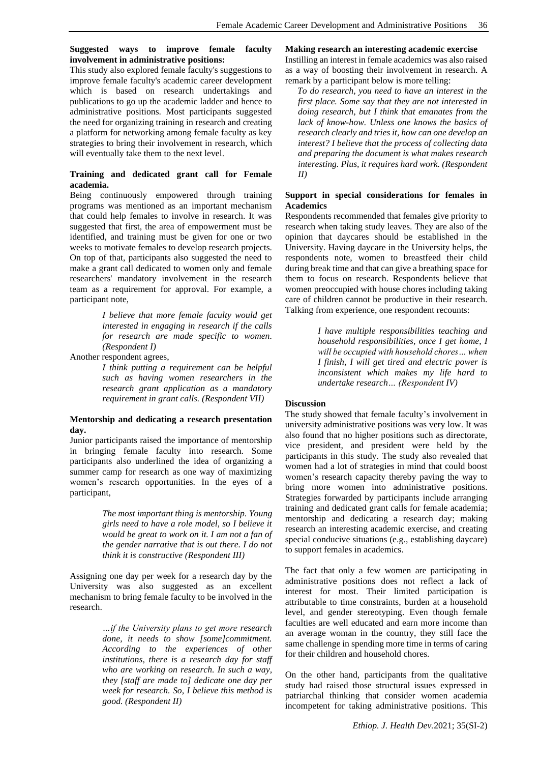#### **Suggested ways to improve female faculty involvement in administrative positions:**

This study also explored female faculty's suggestions to improve female faculty's academic career development which is based on research undertakings and publications to go up the academic ladder and hence to administrative positions. Most participants suggested the need for organizing training in research and creating a platform for networking among female faculty as key strategies to bring their involvement in research, which will eventually take them to the next level.

# **Training and dedicated grant call for Female academia.**

Being continuously empowered through training programs was mentioned as an important mechanism that could help females to involve in research. It was suggested that first, the area of empowerment must be identified, and training must be given for one or two weeks to motivate females to develop research projects. On top of that, participants also suggested the need to make a grant call dedicated to women only and female researchers' mandatory involvement in the research team as a requirement for approval. For example, a participant note,

> *I believe that more female faculty would get interested in engaging in research if the calls for research are made specific to women. (Respondent I)*

Another respondent agrees,

*I think putting a requirement can be helpful such as having women researchers in the research grant application as a mandatory requirement in grant calls. (Respondent VII)*

# **Mentorship and dedicating a research presentation day.**

Junior participants raised the importance of mentorship in bringing female faculty into research. Some participants also underlined the idea of organizing a summer camp for research as one way of maximizing women's research opportunities. In the eyes of a participant,

> *The most important thing is mentorship. Young girls need to have a role model, so I believe it would be great to work on it. I am not a fan of the gender narrative that is out there. I do not think it is constructive (Respondent III)*

Assigning one day per week for a research day by the University was also suggested as an excellent mechanism to bring female faculty to be involved in the research.

> *…if the University plans to get more research done, it needs to show [some]commitment. According to the experiences of other institutions, there is a research day for staff who are working on research. In such a way, they [staff are made to] dedicate one day per week for research. So, I believe this method is good. (Respondent II)*

#### **Making research an interesting academic exercise**

Instilling an interest in female academics was also raised as a way of boosting their involvement in research. A remark by a participant below is more telling:

*To do research, you need to have an interest in the first place. Some say that they are not interested in doing research, but I think that emanates from the lack of know-how. Unless one knows the basics of research clearly and tries it, how can one develop an interest? I believe that the process of collecting data and preparing the document is what makes research interesting. Plus, it requires hard work. (Respondent II)*

## **Support in special considerations for females in Academics**

Respondents recommended that females give priority to research when taking study leaves. They are also of the opinion that daycares should be established in the University. Having daycare in the University helps, the respondents note, women to breastfeed their child during break time and that can give a breathing space for them to focus on research. Respondents believe that women preoccupied with house chores including taking care of children cannot be productive in their research. Talking from experience, one respondent recounts:

> *I have multiple responsibilities teaching and household responsibilities, once I get home, I will be occupied with household chores… when I finish, I will get tired and electric power is inconsistent which makes my life hard to undertake research… (Respondent IV)*

# **Discussion**

The study showed that female faculty's involvement in university administrative positions was very low. It was also found that no higher positions such as directorate, vice president, and president were held by the participants in this study. The study also revealed that women had a lot of strategies in mind that could boost women's research capacity thereby paving the way to bring more women into administrative positions. Strategies forwarded by participants include arranging training and dedicated grant calls for female academia; mentorship and dedicating a research day; making research an interesting academic exercise, and creating special conducive situations (e.g., establishing daycare) to support females in academics.

The fact that only a few women are participating in administrative positions does not reflect a lack of interest for most. Their limited participation is attributable to time constraints, burden at a household level, and gender stereotyping. Even though female faculties are well educated and earn more income than an average woman in the country, they still face the same challenge in spending more time in terms of caring for their children and household chores.

On the other hand, participants from the qualitative study had raised those structural issues expressed in patriarchal thinking that consider women academia incompetent for taking administrative positions. This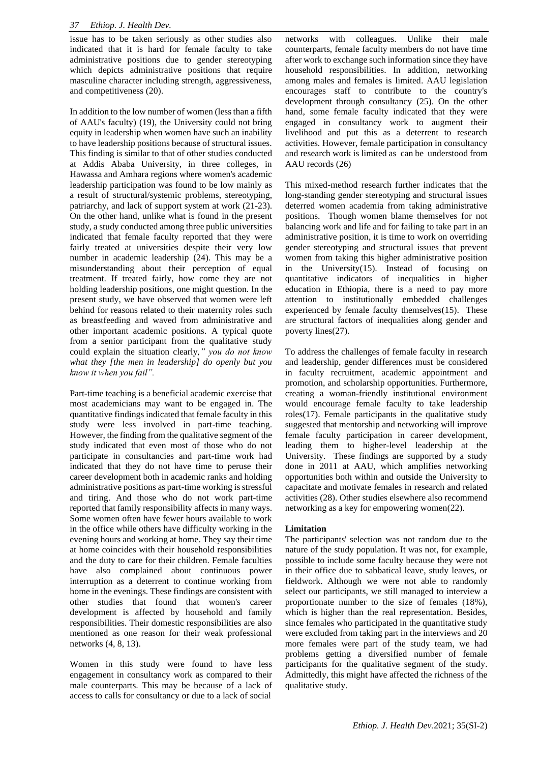issue has to be taken seriously as other studies also indicated that it is hard for female faculty to take administrative positions due to gender stereotyping which depicts administrative positions that require masculine character including strength, aggressiveness, and competitiveness (20).

In addition to the low number of women (less than a fifth of AAU's faculty) (19), the University could not bring equity in leadership when women have such an inability to have leadership positions because of structural issues. This finding is similar to that of other studies conducted at Addis Ababa University, in three colleges, in Hawassa and Amhara regions where women's academic leadership participation was found to be low mainly as a result of structural/systemic problems, stereotyping, patriarchy, and lack of support system at work (21-23). On the other hand, unlike what is found in the present study, a study conducted among three public universities indicated that female faculty reported that they were fairly treated at universities despite their very low number in academic leadership (24). This may be a misunderstanding about their perception of equal treatment. If treated fairly, how come they are not holding leadership positions, one might question. In the present study, we have observed that women were left behind for reasons related to their maternity roles such as breastfeeding and waved from administrative and other important academic positions. A typical quote from a senior participant from the qualitative study could explain the situation clearly*," you do not know what they [the men in leadership] do openly but you know it when you fail".*

Part-time teaching is a beneficial academic exercise that most academicians may want to be engaged in. The quantitative findings indicated that female faculty in this study were less involved in part-time teaching. However, the finding from the qualitative segment of the study indicated that even most of those who do not participate in consultancies and part-time work had indicated that they do not have time to peruse their career development both in academic ranks and holding administrative positions as part-time working is stressful and tiring. And those who do not work part-time reported that family responsibility affects in many ways. Some women often have fewer hours available to work in the office while others have difficulty working in the evening hours and working at home. They say their time at home coincides with their household responsibilities and the duty to care for their children. Female faculties have also complained about continuous power interruption as a deterrent to continue working from home in the evenings. These findings are consistent with other studies that found that women's career development is affected by household and family responsibilities. Their domestic responsibilities are also mentioned as one reason for their weak professional networks (4, 8, 13).

Women in this study were found to have less engagement in consultancy work as compared to their male counterparts. This may be because of a lack of access to calls for consultancy or due to a lack of social networks with colleagues. Unlike their male counterparts, female faculty members do not have time after work to exchange such information since they have household responsibilities. In addition, networking among males and females is limited. AAU legislation encourages staff to contribute to the country's development through consultancy (25). On the other hand, some female faculty indicated that they were engaged in consultancy work to augment their livelihood and put this as a deterrent to research activities. However, female participation in consultancy and research work is limited as can be understood from AAU records (26)

This mixed-method research further indicates that the long-standing gender stereotyping and structural issues deterred women academia from taking administrative positions. Though women blame themselves for not balancing work and life and for failing to take part in an administrative position, it is time to work on overriding gender stereotyping and structural issues that prevent women from taking this higher administrative position in the University(15). Instead of focusing on quantitative indicators of inequalities in higher education in Ethiopia, there is a need to pay more attention to institutionally embedded challenges experienced by female faculty themselves(15). These are structural factors of inequalities along gender and poverty lines(27).

To address the challenges of female faculty in research and leadership, gender differences must be considered in faculty recruitment, academic appointment and promotion, and scholarship opportunities. Furthermore, creating a woman-friendly institutional environment would encourage female faculty to take leadership roles(17). Female participants in the qualitative study suggested that mentorship and networking will improve female faculty participation in career development, leading them to higher-level leadership at the University. These findings are supported by a study done in 2011 at AAU, which amplifies networking opportunities both within and outside the University to capacitate and motivate females in research and related activities (28). Other studies elsewhere also recommend networking as a key for empowering women(22).

# **Limitation**

The participants' selection was not random due to the nature of the study population. It was not, for example, possible to include some faculty because they were not in their office due to sabbatical leave, study leaves, or fieldwork. Although we were not able to randomly select our participants, we still managed to interview a proportionate number to the size of females (18%), which is higher than the real representation. Besides, since females who participated in the quantitative study were excluded from taking part in the interviews and 20 more females were part of the study team, we had problems getting a diversified number of female participants for the qualitative segment of the study. Admittedly, this might have affected the richness of the qualitative study.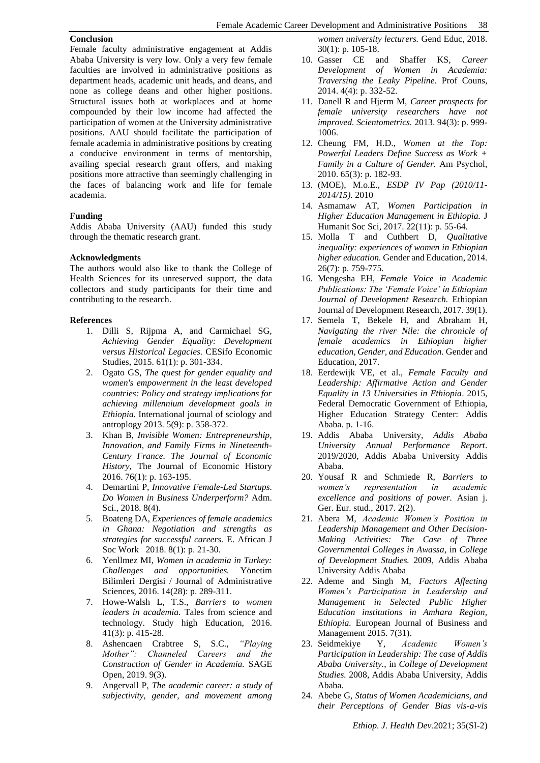#### **Conclusion**

Female faculty administrative engagement at Addis Ababa University is very low. Only a very few female faculties are involved in administrative positions as department heads, academic unit heads, and deans, and none as college deans and other higher positions. Structural issues both at workplaces and at home compounded by their low income had affected the participation of women at the University administrative positions. AAU should facilitate the participation of female academia in administrative positions by creating a conducive environment in terms of mentorship, availing special research grant offers, and making positions more attractive than seemingly challenging in the faces of balancing work and life for female academia.

#### **Funding**

Addis Ababa University (AAU) funded this study through the thematic research grant.

#### **Acknowledgments**

The authors would also like to thank the College of Health Sciences for its unreserved support, the data collectors and study participants for their time and contributing to the research.

#### **References**

- 1. Dilli S, Rijpma A, and Carmichael SG, *Achieving Gender Equality: Development versus Historical Legacies.* CESifo Economic Studies, 2015. 61(1): p. 301-334.
- 2. Ogato GS, *The quest for gender equality and women's empowerment in the least developed countries: Policy and strategy implications for achieving millennium development goals in Ethiopia.* International journal of sciology and antroplogy 2013. 5(9): p. 358-372.
- 3. Khan B, *Invisible Women: Entrepreneurship, Innovation, and Family Firms in Nineteenth-Century France. The Journal of Economic History,* The Journal of Economic History 2016. 76(1): p. 163-195.
- 4. Demartini P, *Innovative Female-Led Startups. Do Women in Business Underperform?* Adm. Sci., 2018. 8(4).
- 5. Boateng DA, *Experiences of female academics in Ghana: Negotiation and strengths as strategies for successful careers.* E. African J Soc Work 2018. 8(1): p. 21-30.
- 6. Yenllmez MI, *Women in academia in Turkey: Challenges and opportunities.* Yönetim Bilimleri Dergisi / Journal of Administrative Sciences, 2016. 14(28): p. 289-311.
- 7. Howe-Walsh L, T.S., *Barriers to women leaders in academia.* Tales from science and technology. Study high Education, 2016. 41(3): p. 415-28.
- 8. Ashencaen Crabtree S, S.C., *"Playing Mother": Channeled Careers and the Construction of Gender in Academia.* SAGE Open, 2019. 9(3).
- 9. Angervall P, *The academic career: a study of subjectivity, gender, and movement among*

*women university lecturers.* Gend Educ, 2018. 30(1): p. 105-18.

- 10. Gasser CE and Shaffer KS, *Career Development of Women in Academia: Traversing the Leaky Pipeline.* Prof Couns, 2014. 4(4): p. 332-52.
- 11. Danell R and Hjerm M, *Career prospects for female university researchers have not improved. Scientometrics.* 2013. 94(3): p. 999- 1006.
- 12. Cheung FM, H.D., *Women at the Top: Powerful Leaders Define Success as Work + Family in a Culture of Gender.* Am Psychol, 2010. 65(3): p. 182-93.
- 13. (MOE), M.o.E., *ESDP IV Pap (2010/11- 2014/15).* 2010
- 14. Asmamaw AT, *Women Participation in Higher Education Management in Ethiopia.* J Humanit Soc Sci, 2017. 22(11): p. 55-64.
- 15. Molla T and Cuthbert D, *Qualitative inequality: experiences of women in Ethiopian higher education.* Gender and Education, 2014. 26(7): p. 759-775.
- 16. Mengesha EH, *Female Voice in Academic Publications: The 'Female Voice' in Ethiopian Journal of Development Research.* Ethiopian Journal of Development Research, 2017. 39(1).
- 17. Semela T, Bekele H, and Abraham H, *Navigating the river Nile: the chronicle of female academics in Ethiopian higher education, Gender, and Education.* Gender and Education, 2017.
- 18. Eerdewijk VE, et al., *Female Faculty and Leadership: Affirmative Action and Gender Equality in 13 Universities in Ethiopia*. 2015, Federal Democratic Government of Ethiopia, Higher Education Strategy Center: Addis Ababa. p. 1-16.
- 19. Addis Ababa University, *Addis Ababa University Annual Performance Report*. 2019/2020, Addis Ababa University Addis Ababa.
- 20. Yousaf R and Schmiede R, *Barriers to women's representation in academic excellence and positions of power.* Asian j. Ger. Eur. stud., 2017. 2(2).
- 21. Abera M, *Academic Women's Position in Leadership Management and Other Decision-Making Activities: The Case of Three Governmental Colleges in Awassa*, in *College of Development Studies.* 2009, Addis Ababa University Addis Ababa
- 22. Ademe and Singh M, *Factors Affecting Women's Participation in Leadership and Management in Selected Public Higher Education institutions in Amhara Region, Ethiopia.* European Journal of Business and Management 2015. 7(31).
- 23. Seidmekiye Y, *Academic Women's Participation in Leadership: The case of Addis Ababa University.*, in *College of Development Studies.* 2008, Addis Ababa University, Addis Ababa.
- 24. Abebe G, *Status of Women Academicians, and their Perceptions of Gender Bias vis-a-vis*